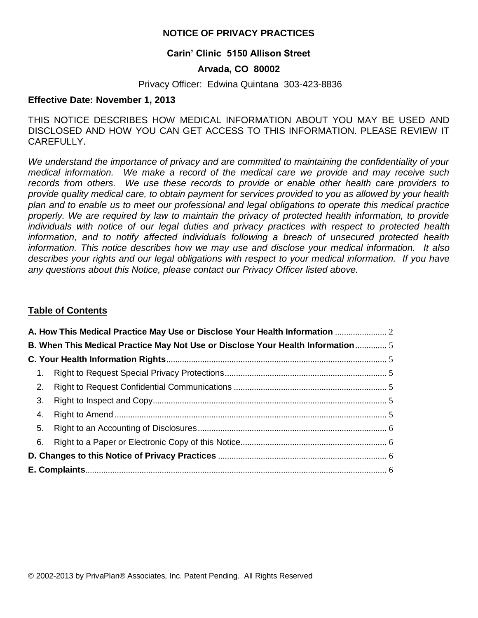## **NOTICE OF PRIVACY PRACTICES**

## **Carin' Clinic 5150 Allison Street**

## **Arvada, CO 80002**

#### Privacy Officer: Edwina Quintana 303-423-8836

#### **Effective Date: November 1, 2013**

THIS NOTICE DESCRIBES HOW MEDICAL INFORMATION ABOUT YOU MAY BE USED AND DISCLOSED AND HOW YOU CAN GET ACCESS TO THIS INFORMATION. PLEASE REVIEW IT CAREFULLY.

*We understand the importance of privacy and are committed to maintaining the confidentiality of your medical information. We make a record of the medical care we provide and may receive such records from others. We use these records to provide or enable other health care providers to provide quality medical care, to obtain payment for services provided to you as allowed by your health plan and to enable us to meet our professional and legal obligations to operate this medical practice properly. We are required by law to maintain the privacy of protected health information, to provide individuals with notice of our legal duties and privacy practices with respect to protected health information, and to notify affected individuals following a breach of unsecured protected health information. This notice describes how we may use and disclose your medical information. It also*  describes your rights and our legal obligations with respect to your medical information. If you have *any questions about this Notice, please contact our Privacy Officer listed above.*

## **Table of Contents**

|                | A. How This Medical Practice May Use or Disclose Your Health Information        |  |
|----------------|---------------------------------------------------------------------------------|--|
|                | B. When This Medical Practice May Not Use or Disclose Your Health Information 5 |  |
|                |                                                                                 |  |
| 1 <sub>1</sub> |                                                                                 |  |
| 2.             |                                                                                 |  |
| 3.             |                                                                                 |  |
| 4.             |                                                                                 |  |
| 5.             |                                                                                 |  |
| 6.             |                                                                                 |  |
|                |                                                                                 |  |
|                |                                                                                 |  |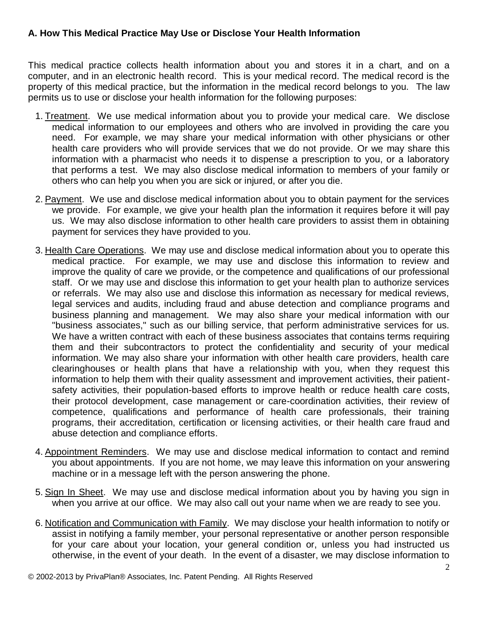## <span id="page-1-0"></span>**A. How This Medical Practice May Use or Disclose Your Health Information**

This medical practice collects health information about you and stores it in a chart, and on a computer, and in an electronic health record. This is your medical record. The medical record is the property of this medical practice, but the information in the medical record belongs to you. The law permits us to use or disclose your health information for the following purposes:

- 1. Treatment. We use medical information about you to provide your medical care. We disclose medical information to our employees and others who are involved in providing the care you need. For example, we may share your medical information with other physicians or other health care providers who will provide services that we do not provide. Or we may share this information with a pharmacist who needs it to dispense a prescription to you, or a laboratory that performs a test. We may also disclose medical information to members of your family or others who can help you when you are sick or injured, or after you die.
- 2. Payment. We use and disclose medical information about you to obtain payment for the services we provide. For example, we give your health plan the information it requires before it will pay us. We may also disclose information to other health care providers to assist them in obtaining payment for services they have provided to you.
- 3. Health Care Operations. We may use and disclose medical information about you to operate this medical practice. For example, we may use and disclose this information to review and improve the quality of care we provide, or the competence and qualifications of our professional staff. Or we may use and disclose this information to get your health plan to authorize services or referrals. We may also use and disclose this information as necessary for medical reviews, legal services and audits, including fraud and abuse detection and compliance programs and business planning and management. We may also share your medical information with our "business associates," such as our billing service, that perform administrative services for us. We have a written contract with each of these business associates that contains terms requiring them and their subcontractors to protect the confidentiality and security of your medical information. We may also share your information with other health care providers, health care clearinghouses or health plans that have a relationship with you, when they request this information to help them with their quality assessment and improvement activities, their patientsafety activities, their population-based efforts to improve health or reduce health care costs, their protocol development, case management or care-coordination activities, their review of competence, qualifications and performance of health care professionals, their training programs, their accreditation, certification or licensing activities, or their health care fraud and abuse detection and compliance efforts.
- 4. Appointment Reminders. We may use and disclose medical information to contact and remind you about appointments. If you are not home, we may leave this information on your answering machine or in a message left with the person answering the phone.
- 5. Sign In Sheet. We may use and disclose medical information about you by having you sign in when you arrive at our office. We may also call out your name when we are ready to see you.
- 6. Notification and Communication with Family. We may disclose your health information to notify or assist in notifying a family member, your personal representative or another person responsible for your care about your location, your general condition or, unless you had instructed us otherwise, in the event of your death. In the event of a disaster, we may disclose information to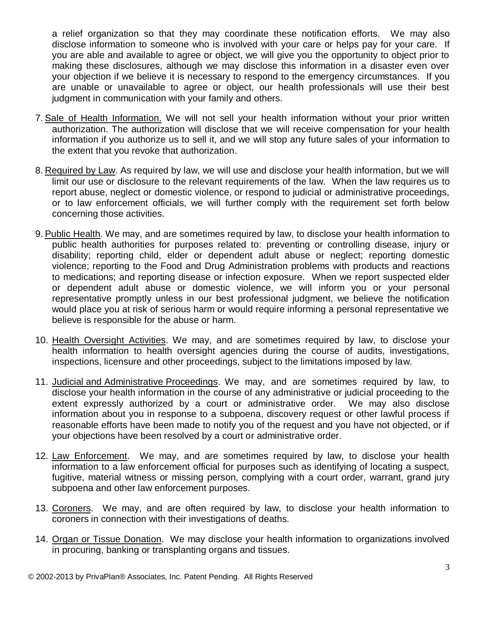a relief organization so that they may coordinate these notification efforts. We may also disclose information to someone who is involved with your care or helps pay for your care. If you are able and available to agree or object, we will give you the opportunity to object prior to making these disclosures, although we may disclose this information in a disaster even over your objection if we believe it is necessary to respond to the emergency circumstances. If you are unable or unavailable to agree or object, our health professionals will use their best judgment in communication with your family and others.

- 7. Sale of Health Information. We will not sell your health information without your prior written authorization. The authorization will disclose that we will receive compensation for your health information if you authorize us to sell it, and we will stop any future sales of your information to the extent that you revoke that authorization.
- 8. Required by Law. As required by law, we will use and disclose your health information, but we will limit our use or disclosure to the relevant requirements of the law. When the law requires us to report abuse, neglect or domestic violence, or respond to judicial or administrative proceedings, or to law enforcement officials, we will further comply with the requirement set forth below concerning those activities.
- 9. Public Health. We may, and are sometimes required by law, to disclose your health information to public health authorities for purposes related to: preventing or controlling disease, injury or disability; reporting child, elder or dependent adult abuse or neglect; reporting domestic violence; reporting to the Food and Drug Administration problems with products and reactions to medications; and reporting disease or infection exposure. When we report suspected elder or dependent adult abuse or domestic violence, we will inform you or your personal representative promptly unless in our best professional judgment, we believe the notification would place you at risk of serious harm or would require informing a personal representative we believe is responsible for the abuse or harm.
- 10. Health Oversight Activities. We may, and are sometimes required by law, to disclose your health information to health oversight agencies during the course of audits, investigations, inspections, licensure and other proceedings, subject to the limitations imposed by law.
- 11. Judicial and Administrative Proceedings. We may, and are sometimes required by law, to disclose your health information in the course of any administrative or judicial proceeding to the extent expressly authorized by a court or administrative order. We may also disclose information about you in response to a subpoena, discovery request or other lawful process if reasonable efforts have been made to notify you of the request and you have not objected, or if your objections have been resolved by a court or administrative order.
- 12. Law Enforcement. We may, and are sometimes required by law, to disclose your health information to a law enforcement official for purposes such as identifying of locating a suspect, fugitive, material witness or missing person, complying with a court order, warrant, grand jury subpoena and other law enforcement purposes.
- 13. Coroners. We may, and are often required by law, to disclose your health information to coroners in connection with their investigations of deaths.
- 14. Organ or Tissue Donation. We may disclose your health information to organizations involved in procuring, banking or transplanting organs and tissues.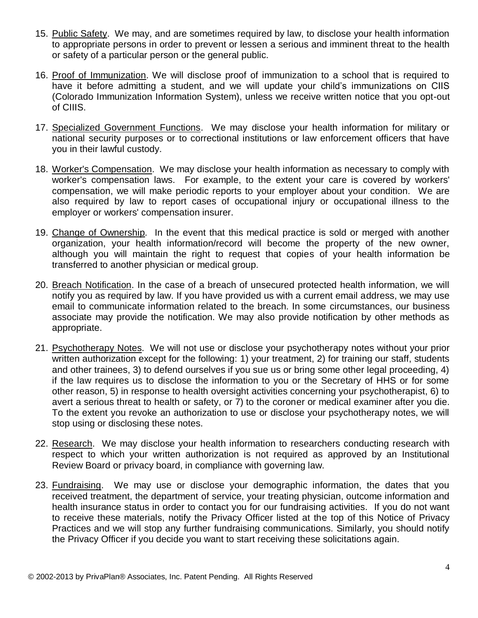- 15. Public Safety. We may, and are sometimes required by law, to disclose your health information to appropriate persons in order to prevent or lessen a serious and imminent threat to the health or safety of a particular person or the general public.
- 16. Proof of Immunization. We will disclose proof of immunization to a school that is required to have it before admitting a student, and we will update your child's immunizations on CIIS (Colorado Immunization Information System), unless we receive written notice that you opt-out of CIIIS.
- 17. Specialized Government Functions. We may disclose your health information for military or national security purposes or to correctional institutions or law enforcement officers that have you in their lawful custody.
- 18. Worker's Compensation. We may disclose your health information as necessary to comply with worker's compensation laws. For example, to the extent your care is covered by workers' compensation, we will make periodic reports to your employer about your condition. We are also required by law to report cases of occupational injury or occupational illness to the employer or workers' compensation insurer.
- 19. Change of Ownership. In the event that this medical practice is sold or merged with another organization, your health information/record will become the property of the new owner, although you will maintain the right to request that copies of your health information be transferred to another physician or medical group.
- 20. Breach Notification. In the case of a breach of unsecured protected health information, we will notify you as required by law. If you have provided us with a current email address, we may use email to communicate information related to the breach. In some circumstances, our business associate may provide the notification. We may also provide notification by other methods as appropriate.
- 21. Psychotherapy Notes. We will not use or disclose your psychotherapy notes without your prior written authorization except for the following: 1) your treatment, 2) for training our staff, students and other trainees, 3) to defend ourselves if you sue us or bring some other legal proceeding, 4) if the law requires us to disclose the information to you or the Secretary of HHS or for some other reason, 5) in response to health oversight activities concerning your psychotherapist, 6) to avert a serious threat to health or safety, or 7) to the coroner or medical examiner after you die. To the extent you revoke an authorization to use or disclose your psychotherapy notes, we will stop using or disclosing these notes.
- 22. Research. We may disclose your health information to researchers conducting research with respect to which your written authorization is not required as approved by an Institutional Review Board or privacy board, in compliance with governing law.
- 23. Fundraising. We may use or disclose your demographic information, the dates that you received treatment, the department of service, your treating physician, outcome information and health insurance status in order to contact you for our fundraising activities. If you do not want to receive these materials, notify the Privacy Officer listed at the top of this Notice of Privacy Practices and we will stop any further fundraising communications. Similarly, you should notify the Privacy Officer if you decide you want to start receiving these solicitations again.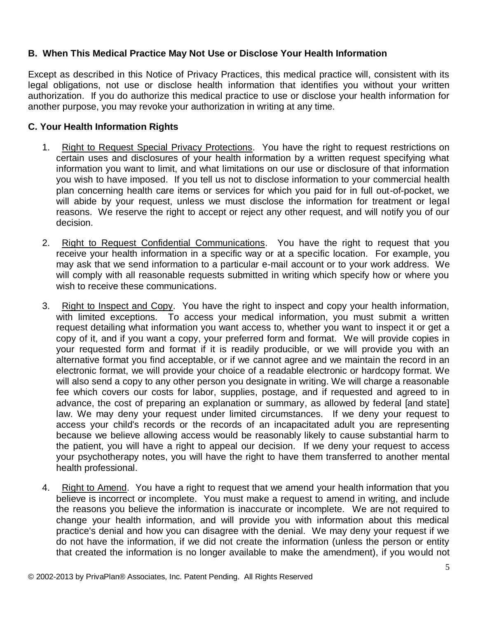## <span id="page-4-0"></span>**B. When This Medical Practice May Not Use or Disclose Your Health Information**

Except as described in this Notice of Privacy Practices, this medical practice will, consistent with its legal obligations, not use or disclose health information that identifies you without your written authorization. If you do authorize this medical practice to use or disclose your health information for another purpose, you may revoke your authorization in writing at any time.

## <span id="page-4-1"></span>**C. Your Health Information Rights**

- <span id="page-4-2"></span>1. Right to Request Special Privacy Protections. You have the right to request restrictions on certain uses and disclosures of your health information by a written request specifying what information you want to limit, and what limitations on our use or disclosure of that information you wish to have imposed. If you tell us not to disclose information to your commercial health plan concerning health care items or services for which you paid for in full out-of-pocket, we will abide by your request, unless we must disclose the information for treatment or legal reasons. We reserve the right to accept or reject any other request, and will notify you of our decision.
- <span id="page-4-3"></span>2. Right to Request Confidential Communications. You have the right to request that you receive your health information in a specific way or at a specific location. For example, you may ask that we send information to a particular e-mail account or to your work address. We will comply with all reasonable requests submitted in writing which specify how or where you wish to receive these communications.
- <span id="page-4-4"></span>3. Right to Inspect and Copy. You have the right to inspect and copy your health information, with limited exceptions. To access your medical information, you must submit a written request detailing what information you want access to, whether you want to inspect it or get a copy of it, and if you want a copy, your preferred form and format. We will provide copies in your requested form and format if it is readily producible, or we will provide you with an alternative format you find acceptable, or if we cannot agree and we maintain the record in an electronic format, we will provide your choice of a readable electronic or hardcopy format. We will also send a copy to any other person you designate in writing. We will charge a reasonable fee which covers our costs for labor, supplies, postage, and if requested and agreed to in advance, the cost of preparing an explanation or summary, as allowed by federal [and state] law. We may deny your request under limited circumstances. If we deny your request to access your child's records or the records of an incapacitated adult you are representing because we believe allowing access would be reasonably likely to cause substantial harm to the patient, you will have a right to appeal our decision. If we deny your request to access your psychotherapy notes, you will have the right to have them transferred to another mental health professional.
- <span id="page-4-5"></span>4. Right to Amend. You have a right to request that we amend your health information that you believe is incorrect or incomplete. You must make a request to amend in writing, and include the reasons you believe the information is inaccurate or incomplete. We are not required to change your health information, and will provide you with information about this medical practice's denial and how you can disagree with the denial. We may deny your request if we do not have the information, if we did not create the information (unless the person or entity that created the information is no longer available to make the amendment), if you would not